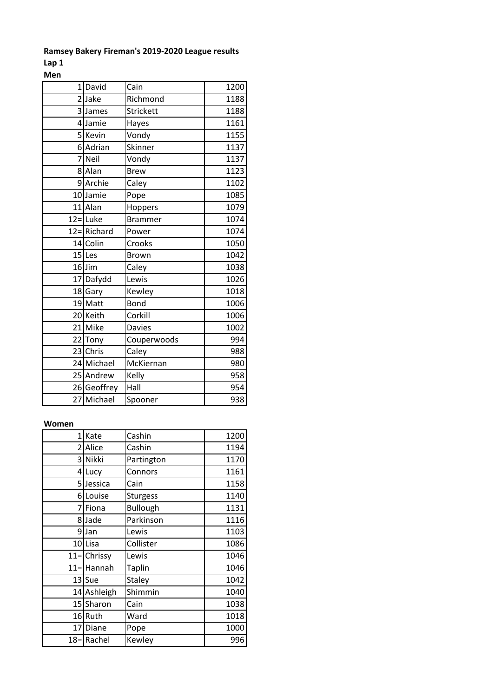## **Ramsey Bakery Fireman's 2019-2020 League results**

**Lap 1 Men**

| $\overline{1}$ | David       | Cain           | 1200 |
|----------------|-------------|----------------|------|
| $\overline{2}$ | Jake        | Richmond       | 1188 |
|                | 3 James     | Strickett      | 1188 |
| 4              | Jamie       | Hayes          | 1161 |
| 5              | Kevin       | Vondy          | 1155 |
| 6              | Adrian      | Skinner        | 1137 |
| 7              | Neil        | Vondy          | 1137 |
| 8              | Alan        | <b>Brew</b>    | 1123 |
| 9              | Archie      | Caley          | 1102 |
| 10             | Jamie       | Pope           | 1085 |
|                | 11 Alan     | Hoppers        | 1079 |
|                | $12 =$ Luke | <b>Brammer</b> | 1074 |
|                | 12=Richard  | Power          | 1074 |
|                | 14 Colin    | Crooks         | 1050 |
|                | 15 Les      | <b>Brown</b>   | 1042 |
|                | $16$ Jim    | Caley          | 1038 |
| 17             | Dafydd      | Lewis          | 1026 |
| 18             | Gary        | Kewley         | 1018 |
|                | 19 Matt     | <b>Bond</b>    | 1006 |
|                | 20 Keith    | Corkill        | 1006 |
| 21             | Mike        | <b>Davies</b>  | 1002 |
| 22             | Tony        | Couperwoods    | 994  |
| 23             | Chris       | Caley          | 988  |
|                | 24 Michael  | McKiernan      | 980  |
|                | 25 Andrew   | Kelly          | 958  |
|                | 26 Geoffrey | Hall           | 954  |
|                | 27 Michael  | Spooner        | 938  |

### **Women**

| $\mathbf{1}$ | Kate             | Cashin          | 1200 |
|--------------|------------------|-----------------|------|
| 2            | Alice            | Cashin          | 1194 |
|              | 3 Nikki          | Partington      | 1170 |
|              | 4 Lucy           | Connors         | 1161 |
|              | 5 Jessica        | Cain            | 1158 |
| 6            | Louise           | <b>Sturgess</b> | 1140 |
| 7            | Fiona            | <b>Bullough</b> | 1131 |
| 8            | Jade             | Parkinson       | 1116 |
| 9            | Jan              | Lewis           | 1103 |
|              | 10 Lisa          | Collister       | 1086 |
|              | $11 = \nChrissy$ | Lewis           | 1046 |
|              | 11=Hannah        | <b>Taplin</b>   | 1046 |
|              | 13 Sue           | Staley          | 1042 |
|              | 14 Ashleigh      | Shimmin         | 1040 |
|              | 15 Sharon        | Cain            | 1038 |
|              | 16 Ruth          | Ward            | 1018 |
|              | 17 Diane         | Pope            | 1000 |
|              | 18=Rachel        | Kewley          | 996  |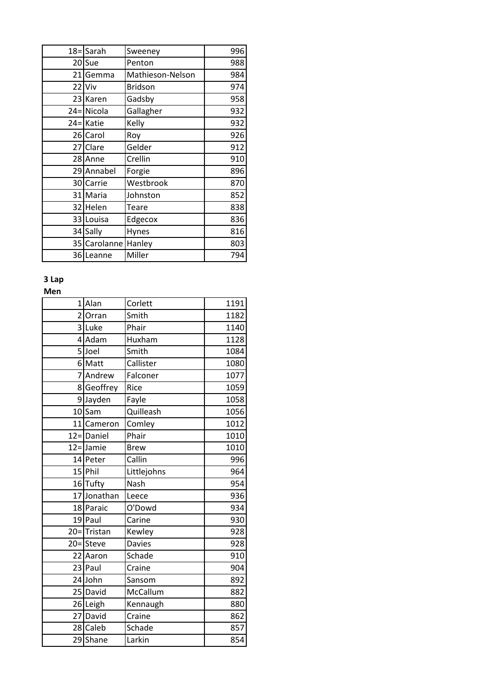|        | 18=Sarah     | Sweeney          | 996 |
|--------|--------------|------------------|-----|
|        | 20 Sue       | Penton           | 988 |
|        | 21 Gemma     | Mathieson-Nelson | 984 |
|        | 22 Viv       | <b>Bridson</b>   | 974 |
|        | 23 Karen     | Gadsby           | 958 |
|        | 24=Nicola    | Gallagher        | 932 |
| $24 =$ | Katie        | Kelly            | 932 |
|        | 26 Carol     | Roy              | 926 |
|        | 27 Clare     | Gelder           | 912 |
|        | 28 Anne      | Crellin          | 910 |
|        | 29 Annabel   | Forgie           | 896 |
|        | 30 Carrie    | Westbrook        | 870 |
|        | 31 Maria     | Johnston         | 852 |
| 32     | Helen        | Teare            | 838 |
|        | 33 Louisa    | Edgecox          | 836 |
|        | 34 Sally     | Hynes            | 816 |
|        | 35 Carolanne | Hanley           | 803 |
|        | 36 Leanne    | Miller           | 794 |

# **3 Lap**

### **Men**

| 1              | Alan         | Corlett       | 1191 |
|----------------|--------------|---------------|------|
| $\overline{2}$ | Orran        | Smith         | 1182 |
| 3              | Luke         | Phair         | 1140 |
|                | 4 Adam       | Huxham        | 1128 |
|                | 5 Joel       | -<br>Smith    | 1084 |
|                | 6 Matt       | Callister     | 1080 |
| $\overline{7}$ | Andrew       | Falconer      | 1077 |
|                | 8 Geoffrey   | Rice          | 1059 |
|                | 9Jayden      | Fayle         | 1058 |
|                | $10$ Sam     | Quilleash     | 1056 |
|                | 11 Cameron   | Comley        | 1012 |
|                | 12=Daniel    | Phair         | 1010 |
|                | $12 =$ Jamie | <b>Brew</b>   | 1010 |
|                | 14 Peter     | Callin        | 996  |
|                | 15 Phil      | Littlejohns   | 964  |
|                | 16 Tufty     | Nash          | 954  |
|                | 17JJonathan  | Leece         | 936  |
|                | 18 Paraic    | O'Dowd        | 934  |
|                | 19 Paul      | Carine        | 930  |
|                | 20=Tristan   | Kewley        | 928  |
|                | 20=Steve     | <b>Davies</b> | 928  |
|                | 22 Aaron     | Schade        | 910  |
|                | 23 Paul      | Craine        | 904  |
|                | 24 John      | Sansom        | 892  |
|                | 25 David     | McCallum      | 882  |
|                | 26 Leigh     | Kennaugh      | 880  |
|                | 27 David     | Craine        | 862  |
|                | 28 Caleb     | Schade        | 857  |
|                | 29 Shane     | Larkin        | 854  |